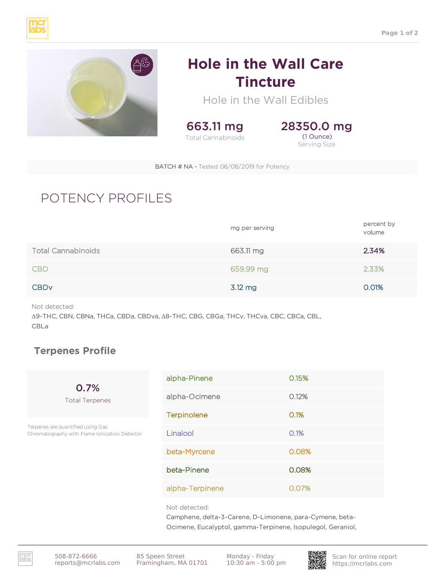



## **Hole in the Wall Care Tincture**

Hole in the Wall Edibles



28350.0 mg (1 Ounce) Serving Size

BATCH # NA - Tested 06/08/2019 for Potency

## POTENCY PROFILES

|                           | mg per serving | percent by<br>volume |
|---------------------------|----------------|----------------------|
| <b>Total Cannabinoids</b> | 663.11 mg      | 2.34%                |
| <b>CBD</b>                | 659.99 mg      | 2.33%                |
| <b>CBD<sub>V</sub></b>    | 3.12 mg        | 0.01%                |

Not detected:

Δ9-THC, CBN, CBNa, THCa, CBDa, CBDva, Δ8-THC, CBG, CBGa, THCv, THCva, CBC, CBCa, CBL, CBLa

## **Terpenes Profile**

0.7% Total Terpenes

Terpenes are quantified using Gas Chromatography with Flame Ionization Detector

| alpha-Pinene       | 0.15% |
|--------------------|-------|
| alpha-Ocimene      | 0.12% |
| <b>Terpinolene</b> | O.1%  |
| Linalool           | O.1%  |
| beta-Myrcene       | 0.08% |
| beta-Pinene        | 0.08% |
| alpha-Terpinene    | 0.07% |

Not detected:

Camphene, delta-3-Carene, D-Limonene, para-Cymene, beta-Ocimene, Eucalyptol, gamma-Terpinene, Isopulegol, Geraniol,

https://mcrlabs.com 508-872-6666 Framingham, MA 01701 85 Speen Street

Monday - Friday 10:30 am - 5:00 pm